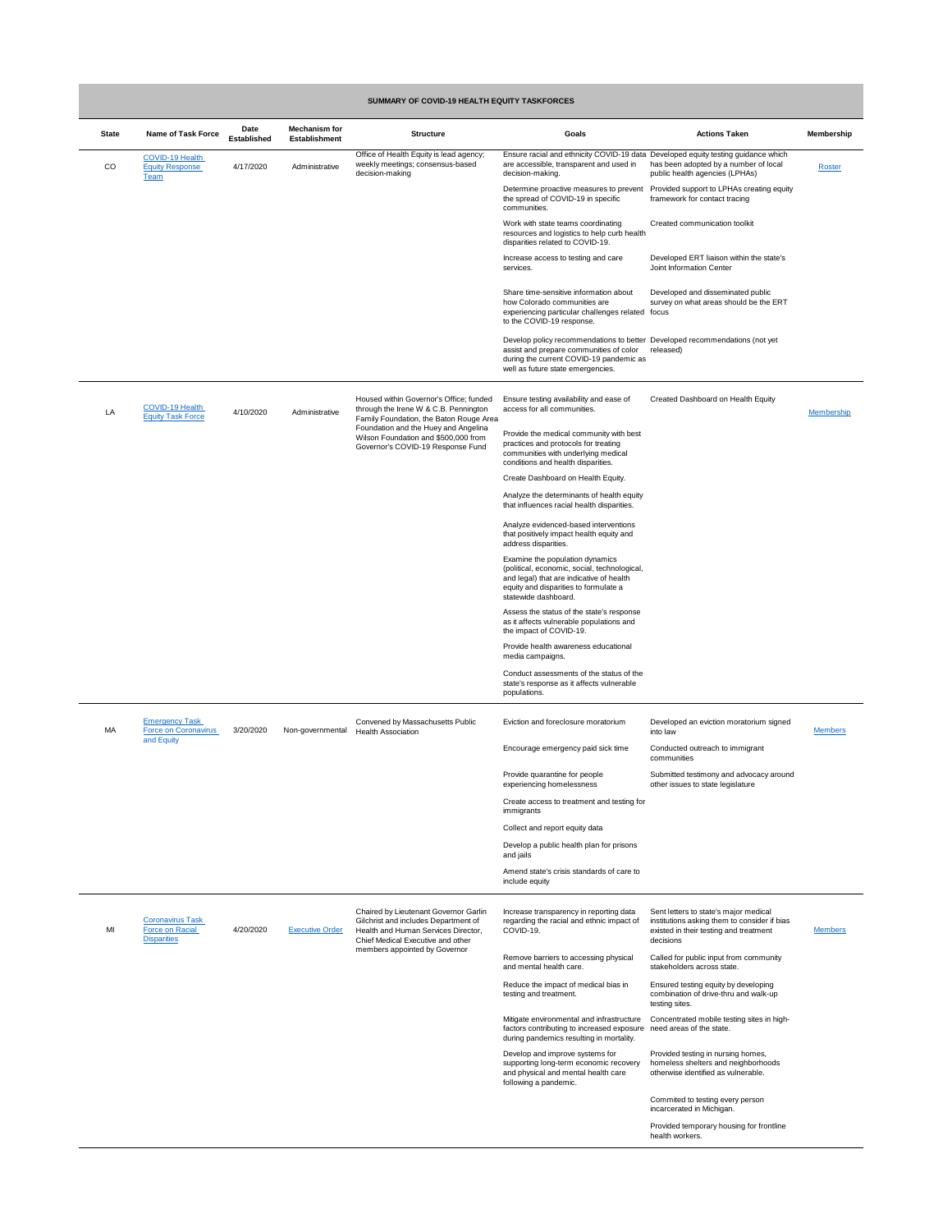| <b>SUMMARY OF COVID-19 HEALTH EQUITY TASKFORCES</b> |                                                                         |                                   |                                              |                                                                                                                                                                                                                                                  |                                                                                                                                                                                                        |                                                                                                                                              |                   |  |
|-----------------------------------------------------|-------------------------------------------------------------------------|-----------------------------------|----------------------------------------------|--------------------------------------------------------------------------------------------------------------------------------------------------------------------------------------------------------------------------------------------------|--------------------------------------------------------------------------------------------------------------------------------------------------------------------------------------------------------|----------------------------------------------------------------------------------------------------------------------------------------------|-------------------|--|
| <b>State</b>                                        | <b>Name of Task Force</b>                                               | <b>Date</b><br><b>Established</b> | <b>Mechanism for</b><br><b>Establishment</b> | <b>Structure</b>                                                                                                                                                                                                                                 | <b>Goals</b>                                                                                                                                                                                           | <b>Actions Taken</b>                                                                                                                         | <b>Membership</b> |  |
| CO                                                  | <b>COVID-19 Health</b><br><b>Equity Response</b><br><b>Team</b>         | 4/17/2020                         | Administrative                               | Office of Health Equity is lead agency;<br>weekly meetings; consensus-based<br>decision-making                                                                                                                                                   | Ensure racial and ethnicity COVID-19 data Developed equity testing guidance which<br>are accessible, transparent and used in<br>decision-making.                                                       | has been adopted by a number of local<br>public health agencies (LPHAs)                                                                      | Roster            |  |
|                                                     |                                                                         |                                   |                                              |                                                                                                                                                                                                                                                  | Determine proactive measures to prevent<br>the spread of COVID-19 in specific<br>communities.                                                                                                          | Provided support to LPHAs creating equity<br>framework for contact tracing                                                                   |                   |  |
|                                                     |                                                                         |                                   |                                              |                                                                                                                                                                                                                                                  | Work with state teams coordinating<br>resources and logistics to help curb health<br>disparities related to COVID-19.                                                                                  | Created communication toolkit                                                                                                                |                   |  |
|                                                     |                                                                         |                                   |                                              |                                                                                                                                                                                                                                                  | Increase access to testing and care<br>services.                                                                                                                                                       | Developed ERT liaison within the state's<br><b>Joint Information Center</b>                                                                  |                   |  |
|                                                     |                                                                         |                                   |                                              |                                                                                                                                                                                                                                                  | Share time-sensitive information about<br>how Colorado communities are<br>experiencing particular challenges related focus<br>to the COVID-19 response.                                                | Developed and disseminated public<br>survey on what areas should be the ERT                                                                  |                   |  |
|                                                     |                                                                         |                                   |                                              |                                                                                                                                                                                                                                                  | Develop policy recommendations to better Developed recommendations (not yet<br>assist and prepare communities of color<br>during the current COVID-19 pandemic as<br>well as future state emergencies. | released)                                                                                                                                    |                   |  |
| LA                                                  | <b>COVID-19 Health</b><br><b>Equity Task Force</b>                      | 4/10/2020                         | Administrative                               | Housed within Governor's Office; funded<br>through the Irene W & C.B. Pennington<br>Family Foundation, the Baton Rouge Area<br>Foundation and the Huey and Angelina<br>Wilson Foundation and \$500,000 from<br>Governor's COVID-19 Response Fund | Ensure testing availability and ease of<br>access for all communities.                                                                                                                                 | <b>Created Dashboard on Health Equity</b>                                                                                                    | <b>Membership</b> |  |
|                                                     |                                                                         |                                   |                                              |                                                                                                                                                                                                                                                  | Provide the medical community with best<br>practices and protocols for treating<br>communities with underlying medical<br>conditions and health disparities.                                           |                                                                                                                                              |                   |  |
|                                                     |                                                                         |                                   |                                              |                                                                                                                                                                                                                                                  | Create Dashboard on Health Equity.<br>Analyze the determinants of health equity                                                                                                                        |                                                                                                                                              |                   |  |
|                                                     |                                                                         |                                   |                                              |                                                                                                                                                                                                                                                  | that influences racial health disparities.<br>Analyze evidenced-based interventions<br>that positively impact health equity and                                                                        |                                                                                                                                              |                   |  |
|                                                     |                                                                         |                                   |                                              |                                                                                                                                                                                                                                                  | address disparities.<br>Examine the population dynamics                                                                                                                                                |                                                                                                                                              |                   |  |
|                                                     |                                                                         |                                   |                                              |                                                                                                                                                                                                                                                  | (political, economic, social, technological,<br>and legal) that are indicative of health<br>equity and disparities to formulate a<br>statewide dashboard.                                              |                                                                                                                                              |                   |  |
|                                                     |                                                                         |                                   |                                              |                                                                                                                                                                                                                                                  | Assess the status of the state's response<br>as it affects vulnerable populations and<br>the impact of COVID-19.                                                                                       |                                                                                                                                              |                   |  |
|                                                     |                                                                         |                                   |                                              |                                                                                                                                                                                                                                                  | Provide health awareness educational<br>media campaigns.<br>Conduct assessments of the status of the                                                                                                   |                                                                                                                                              |                   |  |
|                                                     |                                                                         |                                   |                                              |                                                                                                                                                                                                                                                  | state's response as it affects vulnerable<br>populations.                                                                                                                                              |                                                                                                                                              |                   |  |
| MA                                                  | <b>Emergency Task</b><br>Force on Coronavirus<br>and Equity             | 3/20/2020                         | Non-governmental                             | Convened by Massachusetts Public<br><b>Health Association</b>                                                                                                                                                                                    | Eviction and foreclosure moratorium                                                                                                                                                                    | Developed an eviction moratorium signed<br>into law                                                                                          | <b>Members</b>    |  |
|                                                     |                                                                         |                                   |                                              |                                                                                                                                                                                                                                                  | Encourage emergency paid sick time                                                                                                                                                                     | Conducted outreach to immigrant<br>communities                                                                                               |                   |  |
|                                                     |                                                                         |                                   |                                              |                                                                                                                                                                                                                                                  | Provide quarantine for people<br>experiencing homelessness<br>Create access to treatment and testing for                                                                                               | Submitted testimony and advocacy around<br>other issues to state legislature                                                                 |                   |  |
|                                                     |                                                                         |                                   |                                              |                                                                                                                                                                                                                                                  | immigrants<br>Collect and report equity data                                                                                                                                                           |                                                                                                                                              |                   |  |
|                                                     |                                                                         |                                   |                                              |                                                                                                                                                                                                                                                  | Develop a public health plan for prisons<br>and jails                                                                                                                                                  |                                                                                                                                              |                   |  |
|                                                     |                                                                         |                                   |                                              |                                                                                                                                                                                                                                                  | Amend state's crisis standards of care to<br>include equity                                                                                                                                            |                                                                                                                                              |                   |  |
| MI                                                  | <b>Coronavirus Task</b><br><b>Force on Racial</b><br><b>Disparities</b> | 4/20/2020                         | <b>Executive Order</b>                       | <b>Chaired by Lieutenant Governor Garlin</b><br>Gilchrist and includes Department of<br>Health and Human Services Director,<br>Chief Medical Executive and other                                                                                 | Increase transparency in reporting data<br>regarding the racial and ethnic impact of<br>COVID-19.                                                                                                      | Sent letters to state's major medical<br>institutions asking them to consider if bias<br>existed in their testing and treatment<br>decisions | <b>Members</b>    |  |
|                                                     |                                                                         |                                   |                                              | members appointed by Governor                                                                                                                                                                                                                    | Remove barriers to accessing physical<br>and mental health care.                                                                                                                                       | Called for public input from community<br>stakeholders across state.                                                                         |                   |  |
|                                                     |                                                                         |                                   |                                              |                                                                                                                                                                                                                                                  | Reduce the impact of medical bias in<br>testing and treatment.                                                                                                                                         | Ensured testing equity by developing<br>combination of drive-thru and walk-up<br>testing sites.                                              |                   |  |
|                                                     |                                                                         |                                   |                                              |                                                                                                                                                                                                                                                  | Mitigate environmental and infrastructure<br>factors contributing to increased exposure<br>during pandemics resulting in mortality.                                                                    | Concentrated mobile testing sites in high-<br>need areas of the state.                                                                       |                   |  |
|                                                     |                                                                         |                                   |                                              |                                                                                                                                                                                                                                                  | Develop and improve systems for<br>supporting long-term economic recovery<br>and physical and mental health care<br>following a pandemic.                                                              | Provided testing in nursing homes,<br>homeless shelters and neighborhoods<br>otherwise identified as vulnerable.                             |                   |  |
|                                                     |                                                                         |                                   |                                              |                                                                                                                                                                                                                                                  |                                                                                                                                                                                                        | Commited to testing every person<br>incarcerated in Michigan.                                                                                |                   |  |
|                                                     |                                                                         |                                   |                                              |                                                                                                                                                                                                                                                  |                                                                                                                                                                                                        | Provided temporary housing for frontline<br>health workers.                                                                                  |                   |  |

## **SUMMARY OF COVID-19 HEALTH EQUITY TASKFORCES**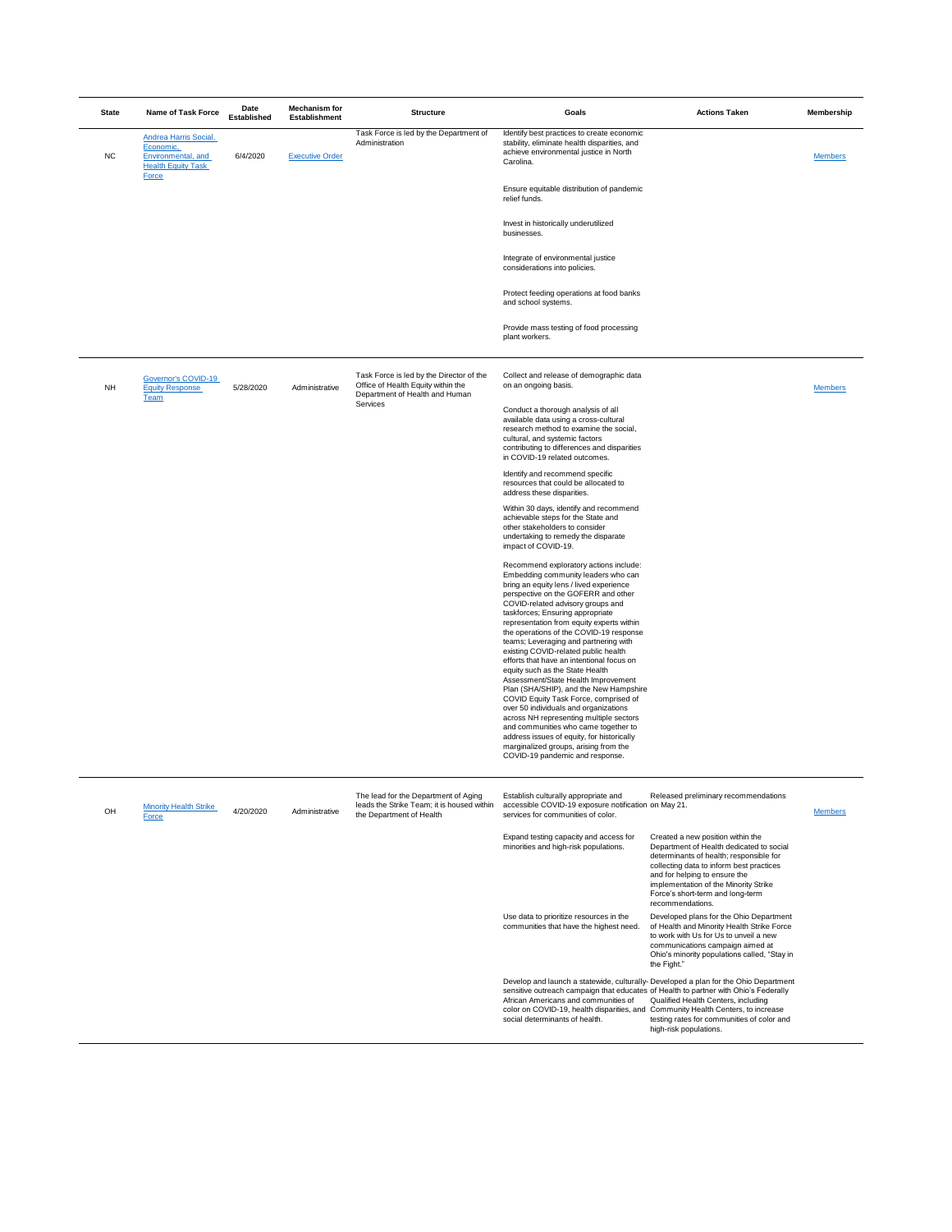Embedding community leaders who can bring an equity lens / lived experience perspective on the GOFERR and other COVID-related advisory groups and taskforces; Ensuring appropriate representation from equity experts within the operations of the COVID-19 response teams; Leveraging and partnering with existing COVID-related public health efforts that have an intentional focus on equity such as the State Health Assessment/State Health Improvement Plan (SHA/SHIP), and the New Hampshire COVID Equity Task Force, comprised of over 50 individuals and organizations across NH representing multiple sectors and communities who came together to address issues of equity, for historically marginalized groups, arising from the COVID-19 pandemic and response.

| <b>State</b> | <b>Name of Task Force</b>                                                                                            | <b>Date</b><br><b>Established</b>                                                  | <b>Mechanism for</b><br><b>Establishment</b>                                                                                                                         | <b>Structure</b>                                                                                                 | <b>Goals</b>                                                                                                                                                                 | <b>Actions Taken</b> | <b>Membership</b> |
|--------------|----------------------------------------------------------------------------------------------------------------------|------------------------------------------------------------------------------------|----------------------------------------------------------------------------------------------------------------------------------------------------------------------|------------------------------------------------------------------------------------------------------------------|------------------------------------------------------------------------------------------------------------------------------------------------------------------------------|----------------------|-------------------|
| <b>NC</b>    | <b>Andrea Harris Social,</b><br>Economic,<br><b>Environmental</b> , and<br><b>Health Equity Task</b><br><b>Force</b> | 6/4/2020                                                                           | <b>Executive Order</b>                                                                                                                                               | Task Force is led by the Department of<br>Administration                                                         | Identify best practices to create economic<br>stability, eliminate health disparities, and<br>achieve environmental justice in North<br>Carolina.                            |                      | <b>Members</b>    |
|              |                                                                                                                      |                                                                                    |                                                                                                                                                                      |                                                                                                                  | Ensure equitable distribution of pandemic<br>relief funds.                                                                                                                   |                      |                   |
|              |                                                                                                                      |                                                                                    |                                                                                                                                                                      |                                                                                                                  | Invest in historically underutilized<br>businesses.                                                                                                                          |                      |                   |
|              |                                                                                                                      |                                                                                    |                                                                                                                                                                      |                                                                                                                  | Integrate of environmental justice<br>considerations into policies.                                                                                                          |                      |                   |
|              |                                                                                                                      |                                                                                    |                                                                                                                                                                      |                                                                                                                  | Protect feeding operations at food banks<br>and school systems.                                                                                                              |                      |                   |
|              |                                                                                                                      |                                                                                    |                                                                                                                                                                      |                                                                                                                  | Provide mass testing of food processing<br>plant workers.                                                                                                                    |                      |                   |
| <b>NH</b>    | Governor's COVID-19<br><b>Equity Response</b><br><b>Team</b>                                                         | 5/28/2020                                                                          | Administrative                                                                                                                                                       | Task Force is led by the Director of the<br>Office of Health Equity within the<br>Department of Health and Human | Collect and release of demographic data<br>on an ongoing basis.                                                                                                              |                      | <b>Members</b>    |
|              |                                                                                                                      | <b>Services</b><br>cultural, and systemic factors<br>in COVID-19 related outcomes. | Conduct a thorough analysis of all<br>available data using a cross-cultural<br>research method to examine the social,<br>contributing to differences and disparities |                                                                                                                  |                                                                                                                                                                              |                      |                   |
|              |                                                                                                                      |                                                                                    |                                                                                                                                                                      |                                                                                                                  | Identify and recommend specific<br>resources that could be allocated to<br>address these disparities.                                                                        |                      |                   |
|              |                                                                                                                      |                                                                                    |                                                                                                                                                                      |                                                                                                                  | Within 30 days, identify and recommend<br>achievable steps for the State and<br>other stakeholders to consider<br>undertaking to remedy the disparate<br>impact of COVID-19. |                      |                   |
|              |                                                                                                                      |                                                                                    |                                                                                                                                                                      |                                                                                                                  | Recommend exploratory actions include:                                                                                                                                       |                      |                   |

| OH | <b>Minority Health Strike</b><br>Force | 4/20/2020 | Administrative | The lead for the Department of Aging<br>leads the Strike Team; it is housed within<br>the Department of Health | Establish culturally appropriate and<br>accessible COVID-19 exposure notification on May 21.<br>services for communities of color.                                                                                                                 | Released preliminary recommendations                                                                                                                                                                                                                                                                   | <b>Members</b> |
|----|----------------------------------------|-----------|----------------|----------------------------------------------------------------------------------------------------------------|----------------------------------------------------------------------------------------------------------------------------------------------------------------------------------------------------------------------------------------------------|--------------------------------------------------------------------------------------------------------------------------------------------------------------------------------------------------------------------------------------------------------------------------------------------------------|----------------|
|    |                                        |           |                |                                                                                                                | Expand testing capacity and access for<br>minorities and high-risk populations.                                                                                                                                                                    | Created a new position within the<br>Department of Health dedicated to social<br>determinants of health; responsible for<br>collecting data to inform best practices<br>and for helping to ensure the<br>implementation of the Minority Strike<br>Force's short-term and long-term<br>recommendations. |                |
|    |                                        |           |                |                                                                                                                | Use data to prioritize resources in the<br>communities that have the highest need.                                                                                                                                                                 | Developed plans for the Ohio Department<br>of Health and Minority Health Strike Force<br>to work with Us for Us to unveil a new<br>communications campaign aimed at<br>Ohio's minority populations called, "Stay in<br>the Fight."                                                                     |                |
|    |                                        |           |                |                                                                                                                | sensitive outreach campaign that educates of Health to partner with Ohio's Federally<br>African Americans and communities of<br>color on COVID-19, health disparities, and Community Health Centers, to increase<br>social determinants of health. | Develop and launch a statewide, culturally-Developed a plan for the Ohio Department<br><b>Qualified Health Centers, including</b><br>testing rates for communities of color and<br>high-risk populations.                                                                                              |                |